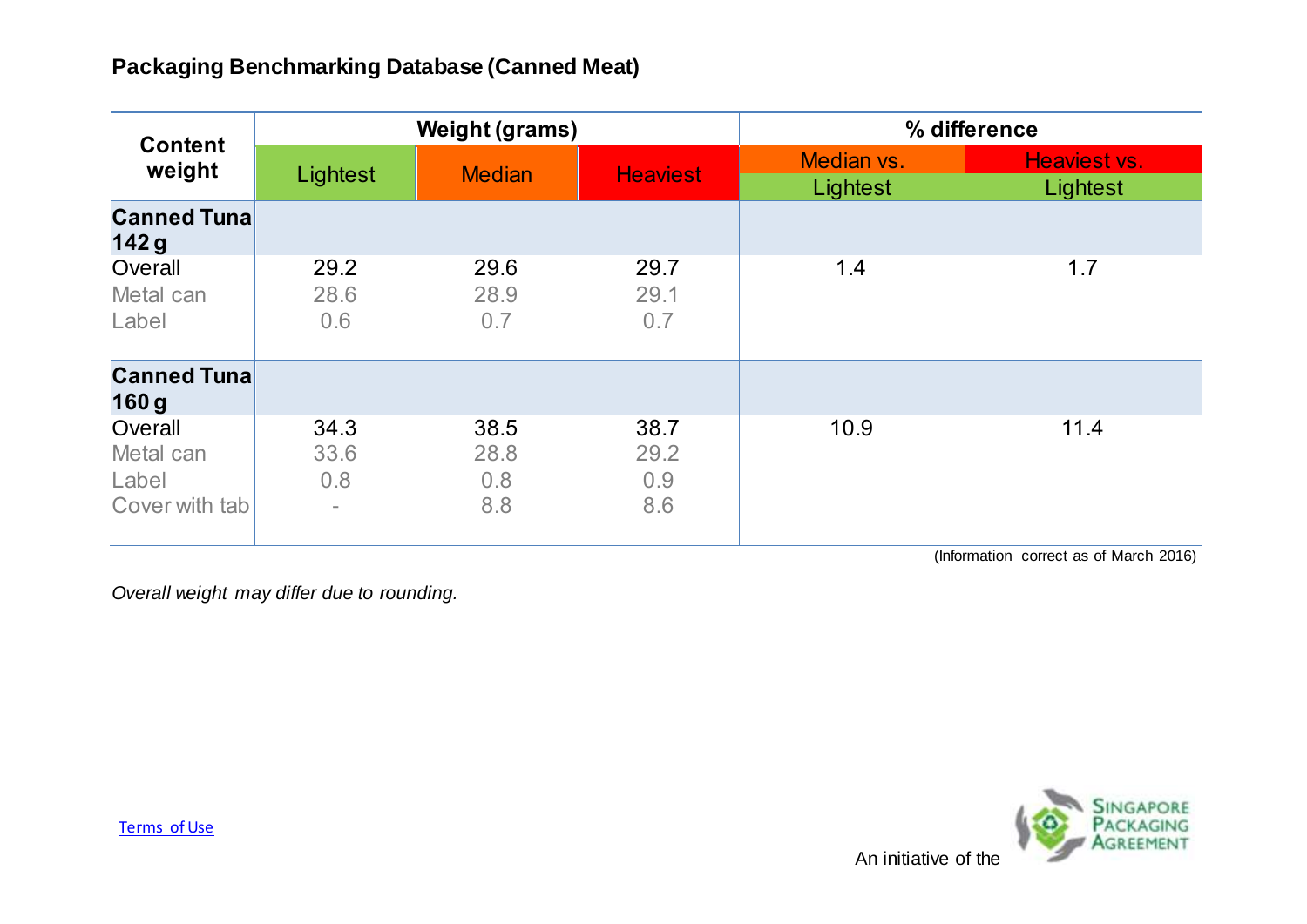| <b>Content</b><br>weight                        | <b>Weight (grams)</b>                           |                            |                            | % difference           |                                                           |
|-------------------------------------------------|-------------------------------------------------|----------------------------|----------------------------|------------------------|-----------------------------------------------------------|
|                                                 | Lightest                                        | <b>Median</b>              | <b>Heaviest</b>            | Median vs.<br>Lightest | Heaviest vs.<br>Lightest                                  |
| <b>Canned Tuna</b><br>142g                      |                                                 |                            |                            |                        |                                                           |
| Overall<br>Metal can<br>Label                   | 29.2<br>28.6<br>0.6                             | 29.6<br>28.9<br>0.7        | 29.7<br>29.1<br>0.7        | 1.4                    | 1.7                                                       |
| <b>Canned Tuna</b><br>160 <sub>g</sub>          |                                                 |                            |                            |                        |                                                           |
| Overall<br>Metal can<br>Label<br>Cover with tab | 34.3<br>33.6<br>0.8<br>$\overline{\phantom{0}}$ | 38.5<br>28.8<br>0.8<br>8.8 | 38.7<br>29.2<br>0.9<br>8.6 | 10.9<br>$\mathbf{a}$   | 11.4<br><b>Contract Contract Contract</b><br>$\mathbf{r}$ |

(Information correct as of March 2016)

*Overall weight may differ due to rounding.*

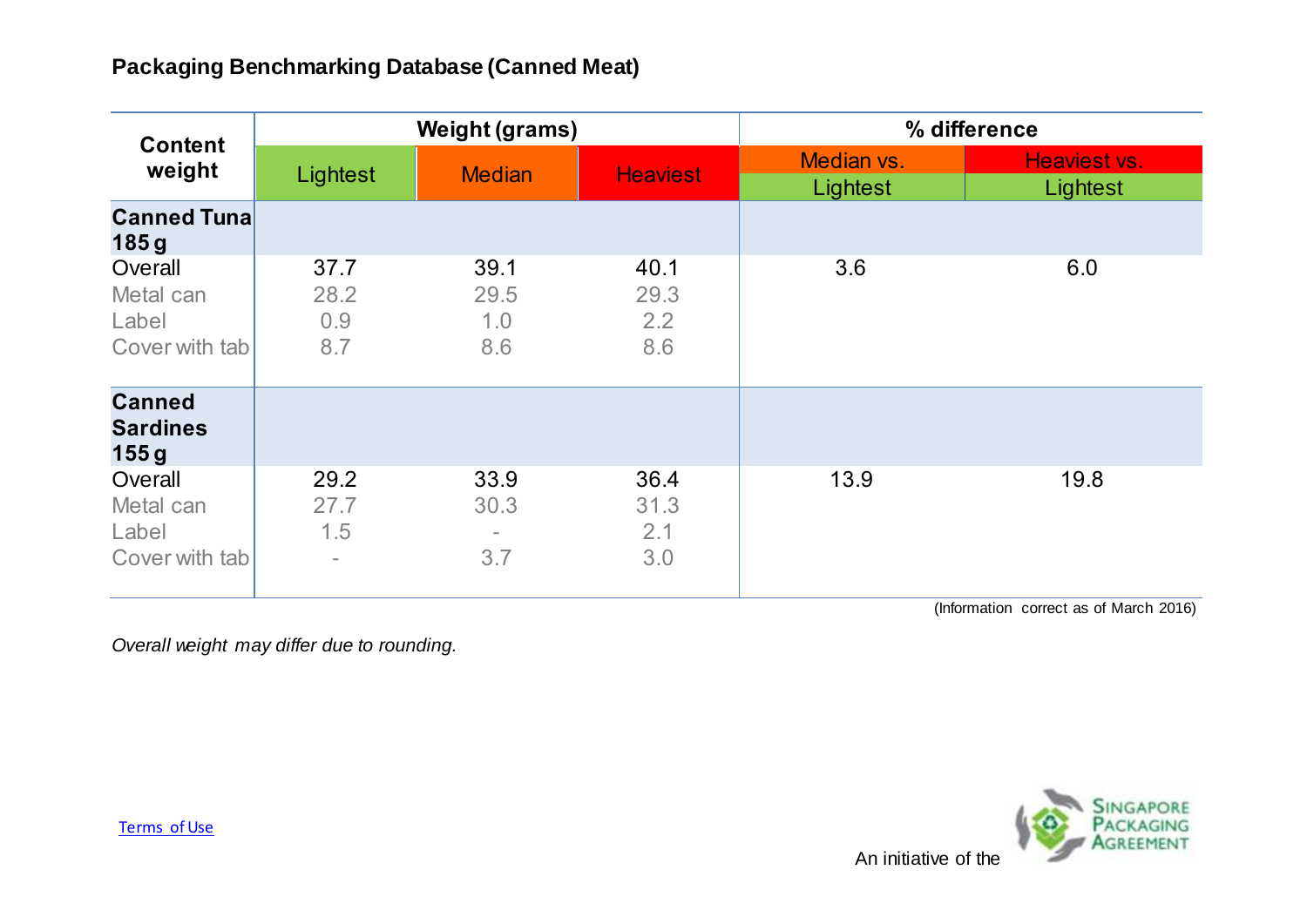| <b>Content</b><br>weight                        | <b>Weight (grams)</b>                           |                                                 |                            | % difference           |                          |
|-------------------------------------------------|-------------------------------------------------|-------------------------------------------------|----------------------------|------------------------|--------------------------|
|                                                 | Lightest                                        | <b>Median</b>                                   | <b>Heaviest</b>            | Median vs.<br>Lightest | Heaviest vs.<br>Lightest |
| <b>Canned Tuna</b><br>185g                      |                                                 |                                                 |                            |                        |                          |
| Overall<br>Metal can<br>Label<br>Cover with tab | 37.7<br>28.2<br>0.9<br>8.7                      | 39.1<br>29.5<br>1.0<br>8.6                      | 40.1<br>29.3<br>2.2<br>8.6 | 3.6                    | 6.0                      |
| <b>Canned</b><br><b>Sardines</b><br>155g        |                                                 |                                                 |                            |                        |                          |
| Overall<br>Metal can<br>Label<br>Cover with tab | 29.2<br>27.7<br>1.5<br>$\overline{\phantom{0}}$ | 33.9<br>30.3<br>$\overline{\phantom{a}}$<br>3.7 | 36.4<br>31.3<br>2.1<br>3.0 | 13.9                   | 19.8                     |

(Information correct as of March 2016)

*Overall weight may differ due to rounding.*



[Terms of Use](http://www.nea.gov.sg/terms-of-use/)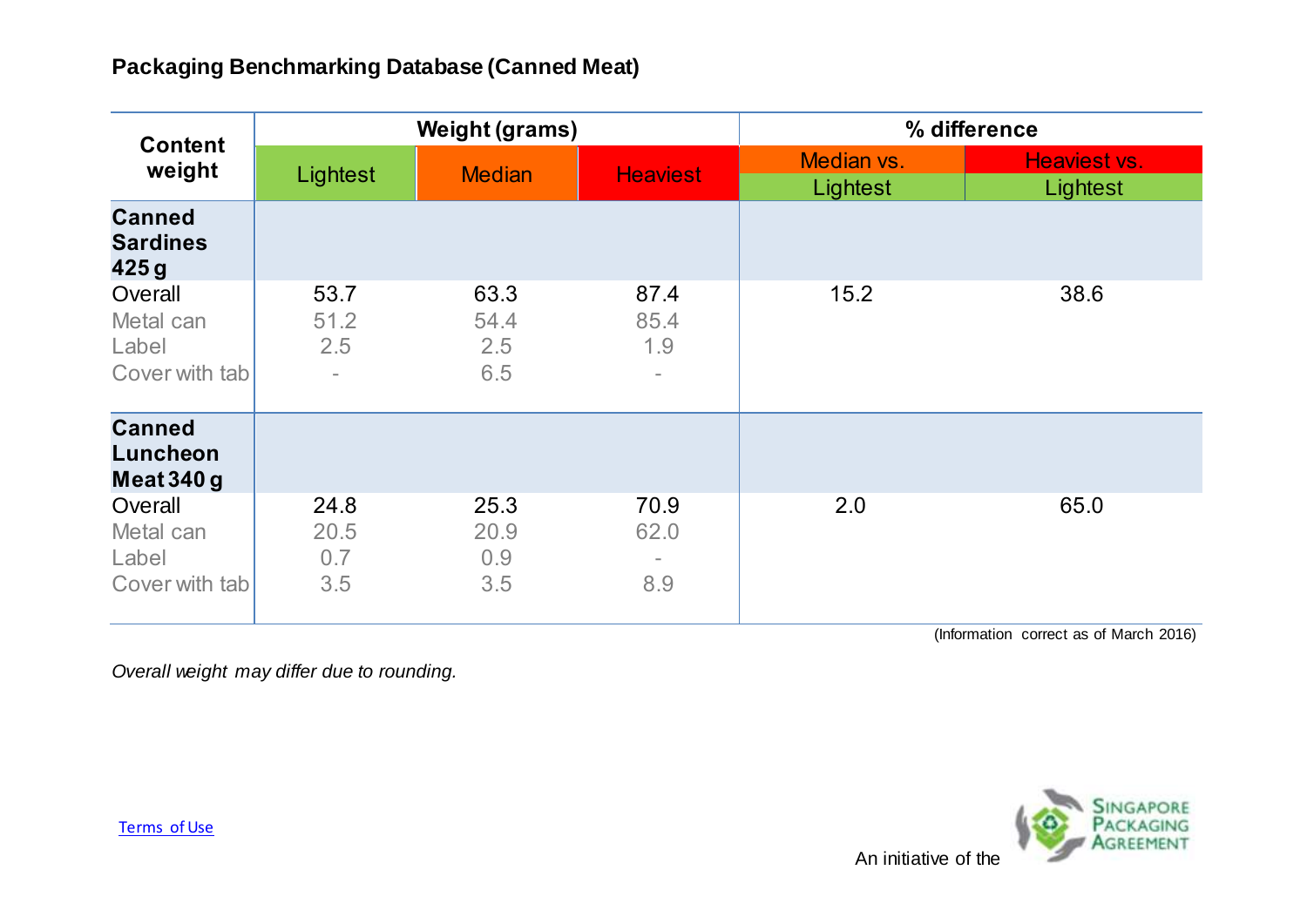| <b>Content</b><br>weight                        | <b>Weight (grams)</b>                           |                            |                                                 | % difference           |                          |
|-------------------------------------------------|-------------------------------------------------|----------------------------|-------------------------------------------------|------------------------|--------------------------|
|                                                 | Lightest                                        | <b>Median</b>              | <b>Heaviest</b>                                 | Median vs.<br>Lightest | Heaviest vs.<br>Lightest |
| <b>Canned</b><br><b>Sardines</b><br>425g        |                                                 |                            |                                                 |                        |                          |
| Overall<br>Metal can<br>Label<br>Cover with tab | 53.7<br>51.2<br>2.5<br>$\overline{\phantom{a}}$ | 63.3<br>54.4<br>2.5<br>6.5 | 87.4<br>85.4<br>1.9<br>$\overline{\phantom{a}}$ | 15.2                   | 38.6                     |
| <b>Canned</b><br>Luncheon<br>Meat $340g$        |                                                 |                            |                                                 |                        |                          |
| Overall<br>Metal can<br>Label<br>Cover with tab | 24.8<br>20.5<br>0.7<br>3.5                      | 25.3<br>20.9<br>0.9<br>3.5 | 70.9<br>62.0<br>8.9                             | 2.0                    | 65.0                     |

(Information correct as of March 2016)

*Overall weight may differ due to rounding.*